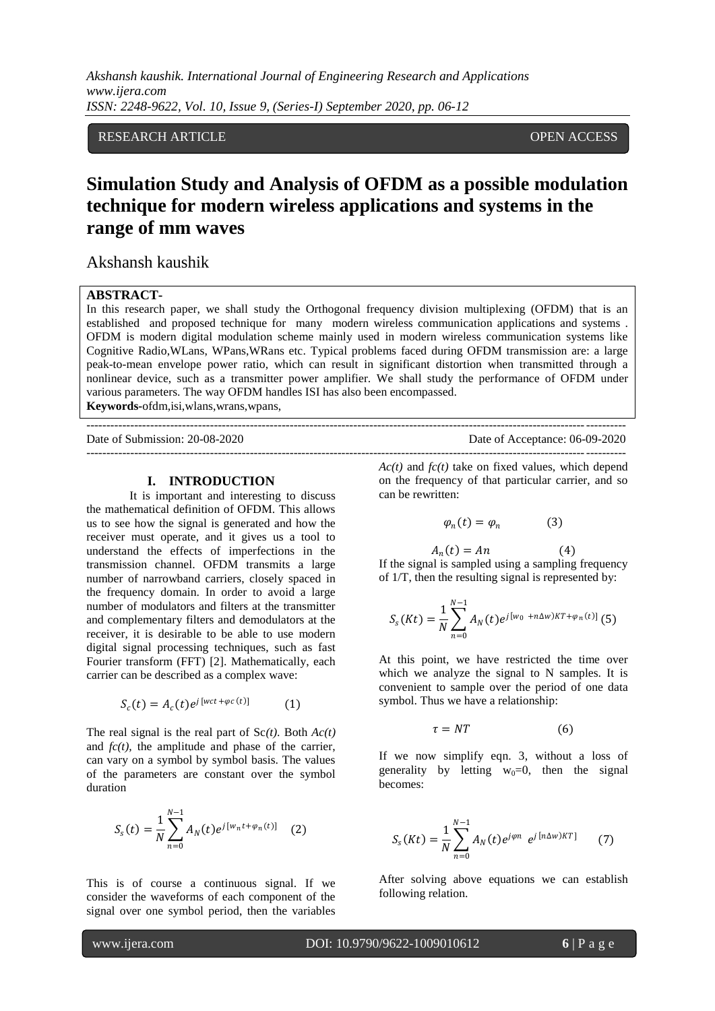# RESEARCH ARTICLE OPEN ACCESS

# **Simulation Study and Analysis of OFDM as a possible modulation technique for modern wireless applications and systems in the range of mm waves**

Akshansh kaushik

# **ABSTRACT-**

In this research paper, we shall study the Orthogonal frequency division multiplexing (OFDM) that is an established and proposed technique for many modern wireless communication applications and systems . OFDM is modern digital modulation scheme mainly used in modern wireless communication systems like Cognitive Radio,WLans, WPans,WRans etc. Typical problems faced during OFDM transmission are: a large peak-to-mean envelope power ratio, which can result in significant distortion when transmitted through a nonlinear device, such as a transmitter power amplifier. We shall study the performance of OFDM under various parameters. The way OFDM handles ISI has also been encompassed. **Keywords-**ofdm,isi,wlans,wrans,wpans,

---------------------------------------------------------------------------------------------------------------------------------------

Date of Submission: 20-08-2020 Date of Acceptance: 06-09-2020 ---------------------------------------------------------------------------------------------------------------------------------------

#### **I. INTRODUCTION**

It is important and interesting to discuss the mathematical definition of OFDM. This allows us to see how the signal is generated and how the receiver must operate, and it gives us a tool to understand the effects of imperfections in the transmission channel. OFDM transmits a large number of narrowband carriers, closely spaced in the frequency domain. In order to avoid a large number of modulators and filters at the transmitter and complementary filters and demodulators at the receiver, it is desirable to be able to use modern digital signal processing techniques, such as fast Fourier transform (FFT) [2]. Mathematically, each carrier can be described as a complex wave:

$$
S_c(t) = A_c(t)e^{j[wct + \varphi c(t)]}
$$
 (1)

The real signal is the real part of Sc*(t)*. Both *Ac(t)*  and  $fc(t)$ , the amplitude and phase of the carrier, can vary on a symbol by symbol basis. The values of the parameters are constant over the symbol duration

$$
S_{s}(t) = \frac{1}{N} \sum_{n=0}^{N-1} A_{N}(t) e^{j[w_{n}t + \varphi_{n}(t)]}
$$
 (2)

This is of course a continuous signal. If we consider the waveforms of each component of the signal over one symbol period, then the variables

*Ac(t)* and *fc(t)* take on fixed values, which depend on the frequency of that particular carrier, and so can be rewritten:

$$
\varphi_n(t) = \varphi_n \tag{3}
$$

 $A_n(t) = An$  (4) If the signal is sampled using a sampling frequency of 1/T, then the resulting signal is represented by:

$$
S_{s}(Kt) = \frac{1}{N} \sum_{n=0}^{N-1} A_{N}(t) e^{j [w_{0} + n \Delta w)KT + \varphi_{n}(t)]}
$$
 (5)

At this point, we have restricted the time over which we analyze the signal to N samples. It is convenient to sample over the period of one data symbol. Thus we have a relationship:

$$
\tau = NT \tag{6}
$$

If we now simplify eqn. 3, without a loss of generality by letting  $w_0=0$ , then the signal becomes:

$$
S_{s}(Kt) = \frac{1}{N} \sum_{n=0}^{N-1} A_{N}(t) e^{j\varphi n} e^{j [n\Delta w)KT]}
$$
 (7)

After solving above equations we can establish following relation.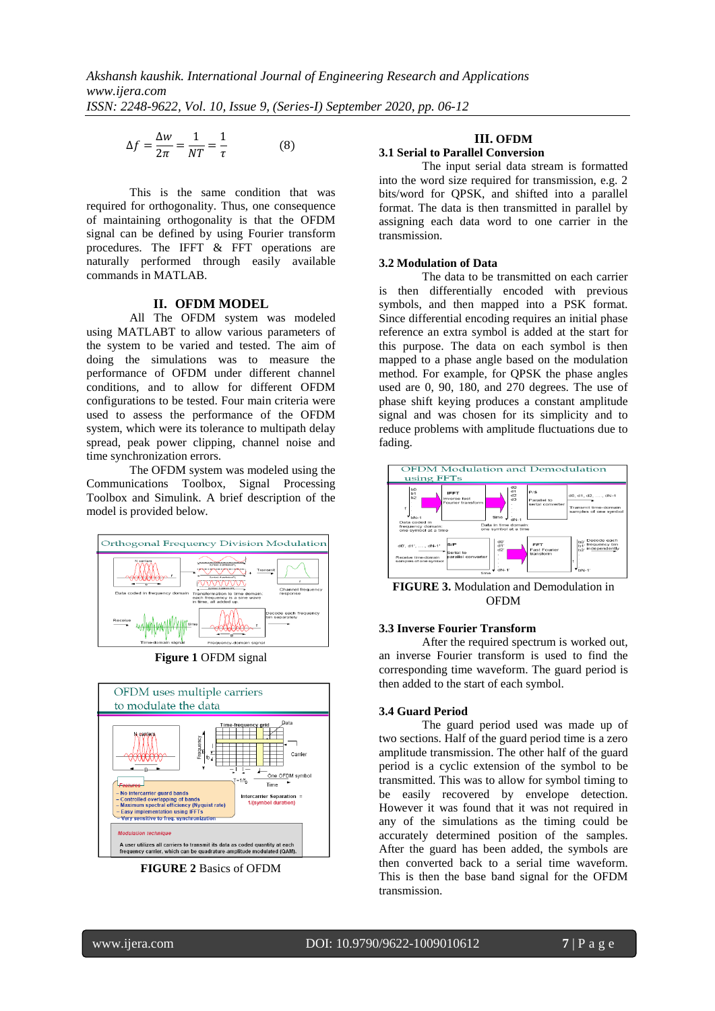$$
\Delta f = \frac{\Delta w}{2\pi} = \frac{1}{NT} = \frac{1}{\tau}
$$
 (8)

This is the same condition that was required for orthogonality. Thus, one consequence of maintaining orthogonality is that the OFDM signal can be defined by using Fourier transform procedures. The IFFT & FFT operations are naturally performed through easily available commands in MATLAB.

## **II. OFDM MODEL**

All The OFDM system was modeled using MATLABT to allow various parameters of the system to be varied and tested. The aim of doing the simulations was to measure the performance of OFDM under different channel conditions, and to allow for different OFDM configurations to be tested. Four main criteria were used to assess the performance of the OFDM system, which were its tolerance to multipath delay spread, peak power clipping, channel noise and time synchronization errors.

The OFDM system was modeled using the Communications Toolbox, Signal Processing Toolbox and Simulink. A brief description of the model is provided below.



**Figure 1** OFDM signal



**FIGURE 2** Basics of OFDM

# **III. OFDM**

# **3.1 Serial to Parallel Conversion**

The input serial data stream is formatted into the word size required for transmission, e.g. 2 bits/word for QPSK, and shifted into a parallel format. The data is then transmitted in parallel by assigning each data word to one carrier in the transmission.

## **3.2 Modulation of Data**

The data to be transmitted on each carrier is then differentially encoded with previous symbols, and then mapped into a PSK format. Since differential encoding requires an initial phase reference an extra symbol is added at the start for this purpose. The data on each symbol is then mapped to a phase angle based on the modulation method. For example, for QPSK the phase angles used are 0, 90, 180, and 270 degrees. The use of phase shift keying produces a constant amplitude signal and was chosen for its simplicity and to reduce problems with amplitude fluctuations due to fading.



**FIGURE 3.** Modulation and Demodulation in OFDM

## **3.3 Inverse Fourier Transform**

After the required spectrum is worked out, an inverse Fourier transform is used to find the corresponding time waveform. The guard period is then added to the start of each symbol.

## **3.4 Guard Period**

The guard period used was made up of two sections. Half of the guard period time is a zero amplitude transmission. The other half of the guard period is a cyclic extension of the symbol to be transmitted. This was to allow for symbol timing to be easily recovered by envelope detection. However it was found that it was not required in any of the simulations as the timing could be accurately determined position of the samples. After the guard has been added, the symbols are then converted back to a serial time waveform. This is then the base band signal for the OFDM transmission.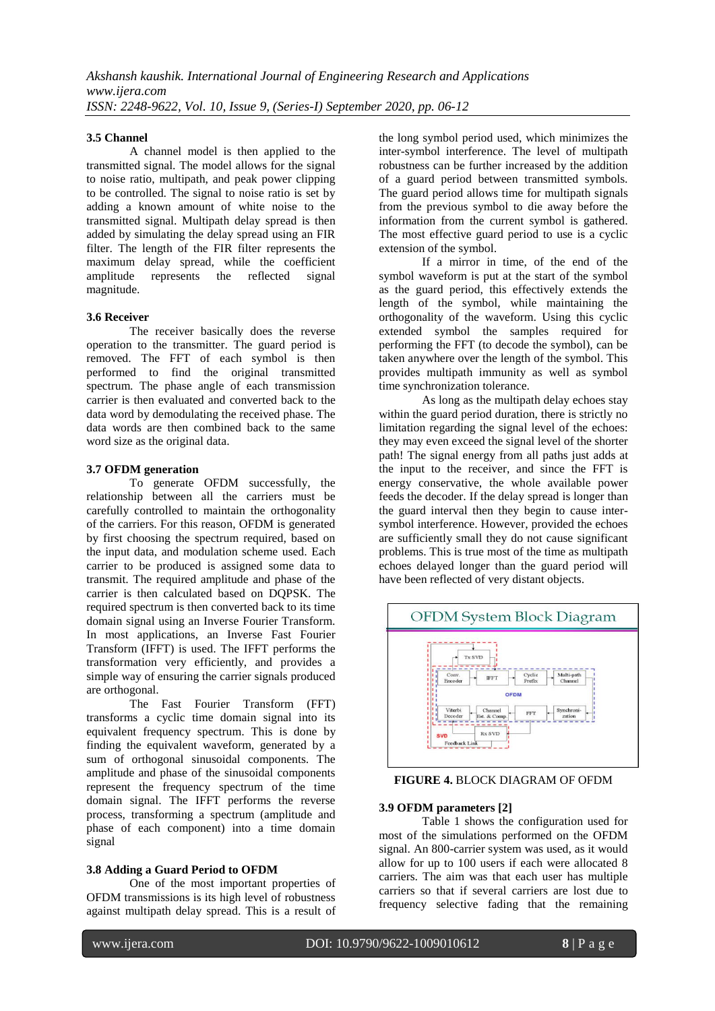#### **3.5 Channel**

A channel model is then applied to the transmitted signal. The model allows for the signal to noise ratio, multipath, and peak power clipping to be controlled. The signal to noise ratio is set by adding a known amount of white noise to the transmitted signal. Multipath delay spread is then added by simulating the delay spread using an FIR filter. The length of the FIR filter represents the maximum delay spread, while the coefficient amplitude represents the reflected signal magnitude.

#### **3.6 Receiver**

The receiver basically does the reverse operation to the transmitter. The guard period is removed. The FFT of each symbol is then performed to find the original transmitted spectrum. The phase angle of each transmission carrier is then evaluated and converted back to the data word by demodulating the received phase. The data words are then combined back to the same word size as the original data.

#### **3.7 OFDM generation**

To generate OFDM successfully, the relationship between all the carriers must be carefully controlled to maintain the orthogonality of the carriers. For this reason, OFDM is generated by first choosing the spectrum required, based on the input data, and modulation scheme used. Each carrier to be produced is assigned some data to transmit. The required amplitude and phase of the carrier is then calculated based on DQPSK. The required spectrum is then converted back to its time domain signal using an Inverse Fourier Transform. In most applications, an Inverse Fast Fourier Transform (IFFT) is used. The IFFT performs the transformation very efficiently, and provides a simple way of ensuring the carrier signals produced are orthogonal.

The Fast Fourier Transform (FFT) transforms a cyclic time domain signal into its equivalent frequency spectrum. This is done by finding the equivalent waveform, generated by a sum of orthogonal sinusoidal components. The amplitude and phase of the sinusoidal components represent the frequency spectrum of the time domain signal. The IFFT performs the reverse process, transforming a spectrum (amplitude and phase of each component) into a time domain signal

## **3.8 Adding a Guard Period to OFDM**

One of the most important properties of OFDM transmissions is its high level of robustness against multipath delay spread. This is a result of the long symbol period used, which minimizes the inter-symbol interference. The level of multipath robustness can be further increased by the addition of a guard period between transmitted symbols. The guard period allows time for multipath signals from the previous symbol to die away before the information from the current symbol is gathered. The most effective guard period to use is a cyclic extension of the symbol.

If a mirror in time, of the end of the symbol waveform is put at the start of the symbol as the guard period, this effectively extends the length of the symbol, while maintaining the orthogonality of the waveform. Using this cyclic extended symbol the samples required for performing the FFT (to decode the symbol), can be taken anywhere over the length of the symbol. This provides multipath immunity as well as symbol time synchronization tolerance.

As long as the multipath delay echoes stay within the guard period duration, there is strictly no limitation regarding the signal level of the echoes: they may even exceed the signal level of the shorter path! The signal energy from all paths just adds at the input to the receiver, and since the FFT is energy conservative, the whole available power feeds the decoder. If the delay spread is longer than the guard interval then they begin to cause intersymbol interference. However, provided the echoes are sufficiently small they do not cause significant problems. This is true most of the time as multipath echoes delayed longer than the guard period will have been reflected of very distant objects.



**FIGURE 4.** BLOCK DIAGRAM OF OFDM

## **3.9 OFDM parameters [2]**

Table 1 shows the configuration used for most of the simulations performed on the OFDM signal. An 800-carrier system was used, as it would allow for up to 100 users if each were allocated 8 carriers. The aim was that each user has multiple carriers so that if several carriers are lost due to frequency selective fading that the remaining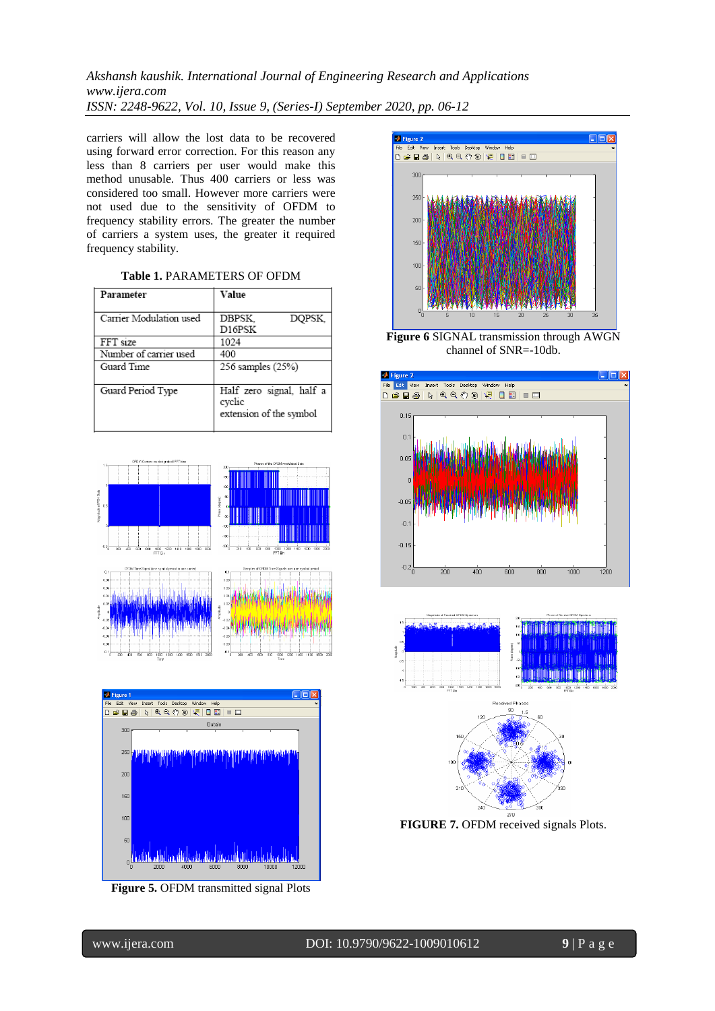carriers will allow the lost data to be recovered using forward error correction. For this reason any less than 8 carriers per user would make this method unusable. Thus 400 carriers or less was considered too small. However more carriers were not used due to the sensitivity of OFDM to frequency stability errors. The greater the number of carriers a system uses, the greater it required frequency stability.

| Parameter               | Value                                                         |
|-------------------------|---------------------------------------------------------------|
|                         |                                                               |
| Carrier Modulation used | DBPSK.<br>DOPSK.                                              |
|                         | D16PSK                                                        |
| FFT size                | 1024                                                          |
| Number of carrier used  | 400                                                           |
| Guard Time              | 256 samples (25%)                                             |
|                         |                                                               |
| Guard Period Type       | Half zero signal, half a<br>cyclic<br>extension of the symbol |
|                         |                                                               |





**Figure 5.** OFDM transmitted signal Plots



**Figure 6** SIGNAL transmission through AWGN channel of SNR=-10db.





**FIGURE 7.** OFDM received signals Plots.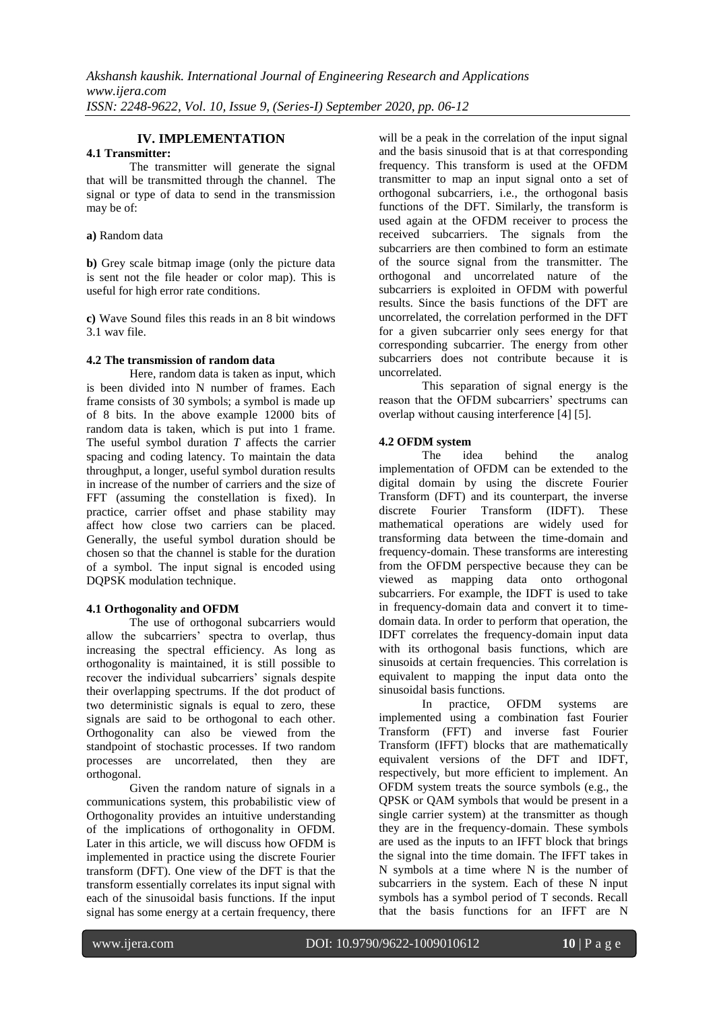# **IV. IMPLEMENTATION**

# **4.1 Transmitter:**

The transmitter will generate the signal that will be transmitted through the channel. The signal or type of data to send in the transmission may be of:

#### **a)** Random data

**b**) Grey scale bitmap image (only the picture data is sent not the file header or color map). This is useful for high error rate conditions.

**c)** Wave Sound files this reads in an 8 bit windows 3.1 wav file.

#### **4.2 The transmission of random data**

Here, random data is taken as input, which is been divided into N number of frames. Each frame consists of 30 symbols; a symbol is made up of 8 bits. In the above example 12000 bits of random data is taken, which is put into 1 frame. The useful symbol duration *T* affects the carrier spacing and coding latency. To maintain the data throughput, a longer, useful symbol duration results in increase of the number of carriers and the size of FFT (assuming the constellation is fixed). In practice, carrier offset and phase stability may affect how close two carriers can be placed. Generally, the useful symbol duration should be chosen so that the channel is stable for the duration of a symbol. The input signal is encoded using DQPSK modulation technique.

## **4.1 Orthogonality and OFDM**

The use of orthogonal subcarriers would allow the subcarriers' spectra to overlap, thus increasing the spectral efficiency. As long as orthogonality is maintained, it is still possible to recover the individual subcarriers' signals despite their overlapping spectrums. If the dot product of two deterministic signals is equal to zero, these signals are said to be orthogonal to each other. Orthogonality can also be viewed from the standpoint of stochastic processes. If two random processes are uncorrelated, then they are orthogonal.

Given the random nature of signals in a communications system, this probabilistic view of Orthogonality provides an intuitive understanding of the implications of orthogonality in OFDM. Later in this article, we will discuss how OFDM is implemented in practice using the discrete Fourier transform (DFT). One view of the DFT is that the transform essentially correlates its input signal with each of the sinusoidal basis functions. If the input signal has some energy at a certain frequency, there

will be a peak in the correlation of the input signal and the basis sinusoid that is at that corresponding frequency. This transform is used at the OFDM transmitter to map an input signal onto a set of orthogonal subcarriers, i.e., the orthogonal basis functions of the DFT. Similarly, the transform is used again at the OFDM receiver to process the received subcarriers. The signals from the subcarriers are then combined to form an estimate of the source signal from the transmitter. The orthogonal and uncorrelated nature of the subcarriers is exploited in OFDM with powerful results. Since the basis functions of the DFT are uncorrelated, the correlation performed in the DFT for a given subcarrier only sees energy for that corresponding subcarrier. The energy from other subcarriers does not contribute because it is uncorrelated.

This separation of signal energy is the reason that the OFDM subcarriers' spectrums can overlap without causing interference [4] [5].

# **4.2 OFDM system**

idea behind the analog implementation of OFDM can be extended to the digital domain by using the discrete Fourier Transform (DFT) and its counterpart, the inverse discrete Fourier Transform (IDFT). These mathematical operations are widely used for transforming data between the time-domain and frequency-domain. These transforms are interesting from the OFDM perspective because they can be viewed as mapping data onto orthogonal subcarriers. For example, the IDFT is used to take in frequency-domain data and convert it to timedomain data. In order to perform that operation, the IDFT correlates the frequency-domain input data with its orthogonal basis functions, which are sinusoids at certain frequencies. This correlation is equivalent to mapping the input data onto the sinusoidal basis functions.

In practice, OFDM systems are implemented using a combination fast Fourier Transform (FFT) and inverse fast Fourier Transform (IFFT) blocks that are mathematically equivalent versions of the DFT and IDFT, respectively, but more efficient to implement. An OFDM system treats the source symbols (e.g., the QPSK or QAM symbols that would be present in a single carrier system) at the transmitter as though they are in the frequency-domain. These symbols are used as the inputs to an IFFT block that brings the signal into the time domain. The IFFT takes in N symbols at a time where N is the number of subcarriers in the system. Each of these N input symbols has a symbol period of T seconds. Recall that the basis functions for an IFFT are N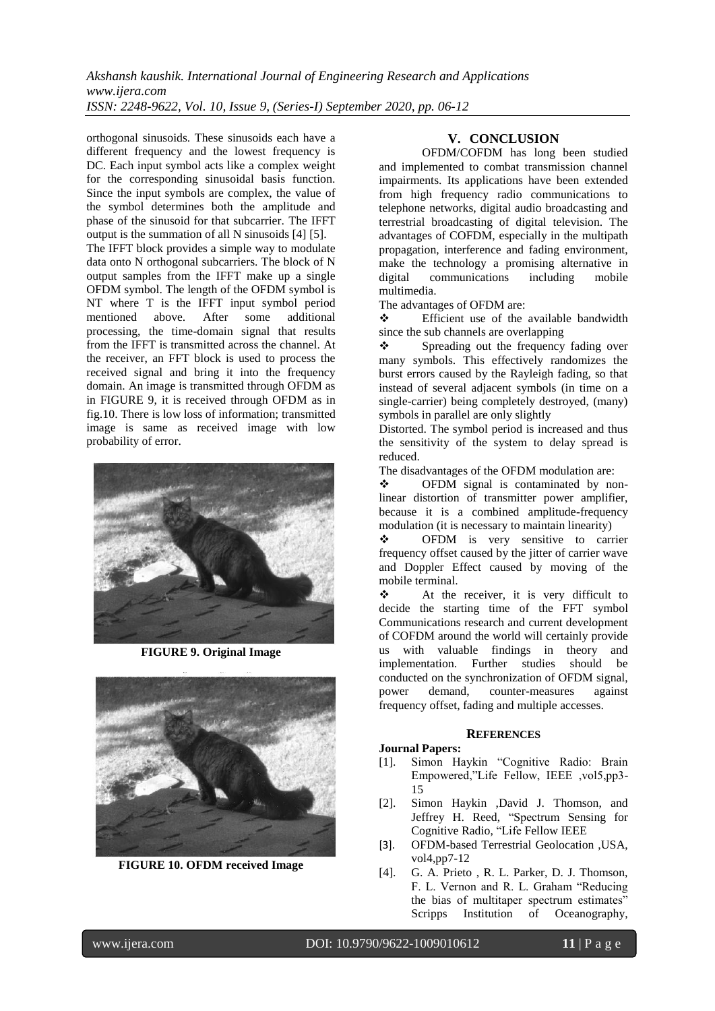orthogonal sinusoids. These sinusoids each have a different frequency and the lowest frequency is DC. Each input symbol acts like a complex weight for the corresponding sinusoidal basis function. Since the input symbols are complex, the value of the symbol determines both the amplitude and phase of the sinusoid for that subcarrier. The IFFT output is the summation of all N sinusoids [4] [5].

The IFFT block provides a simple way to modulate data onto N orthogonal subcarriers. The block of N output samples from the IFFT make up a single OFDM symbol. The length of the OFDM symbol is NT where T is the IFFT input symbol period mentioned above. After some additional processing, the time-domain signal that results from the IFFT is transmitted across the channel. At the receiver, an FFT block is used to process the received signal and bring it into the frequency domain. An image is transmitted through OFDM as in FIGURE 9, it is received through OFDM as in fig.10. There is low loss of information; transmitted image is same as received image with low probability of error.



**FIGURE 9. Original Image**



**FIGURE 10. OFDM received Image**

# **V. CONCLUSION**

OFDM/COFDM has long been studied and implemented to combat transmission channel impairments. Its applications have been extended from high frequency radio communications to telephone networks, digital audio broadcasting and terrestrial broadcasting of digital television. The advantages of COFDM, especially in the multipath propagation, interference and fading environment, make the technology a promising alternative in digital communications including mobile multimedia.

The advantages of OFDM are:

 Efficient use of the available bandwidth since the sub channels are overlapping

 Spreading out the frequency fading over many symbols. This effectively randomizes the burst errors caused by the Rayleigh fading, so that instead of several adjacent symbols (in time on a single-carrier) being completely destroyed, (many) symbols in parallel are only slightly

Distorted. The symbol period is increased and thus the sensitivity of the system to delay spread is reduced.

The disadvantages of the OFDM modulation are:

 OFDM signal is contaminated by nonlinear distortion of transmitter power amplifier, because it is a combined amplitude-frequency modulation (it is necessary to maintain linearity)

 OFDM is very sensitive to carrier frequency offset caused by the jitter of carrier wave and Doppler Effect caused by moving of the mobile terminal.

\* At the receiver, it is very difficult to decide the starting time of the FFT symbol Communications research and current development of COFDM around the world will certainly provide us with valuable findings in theory and implementation. Further studies should be conducted on the synchronization of OFDM signal,<br>nower demand. counter-measures against power demand, counter-measures against frequency offset, fading and multiple accesses.

#### **REFERENCES**

#### **Journal Papers:**

- [1]. Simon Haykin "Cognitive Radio: Brain Empowered,"Life Fellow, IEEE ,vol5,pp3- 15
- [2]. Simon Haykin ,David J. Thomson, and Jeffrey H. Reed, "Spectrum Sensing for Cognitive Radio, "Life Fellow IEEE
- [3]. OFDM-based Terrestrial Geolocation ,USA, vol4,pp7-12
- [4]. G. A. Prieto , R. L. Parker, D. J. Thomson, F. L. Vernon and R. L. Graham "Reducing the bias of multitaper spectrum estimates" Scripps Institution of Oceanography,